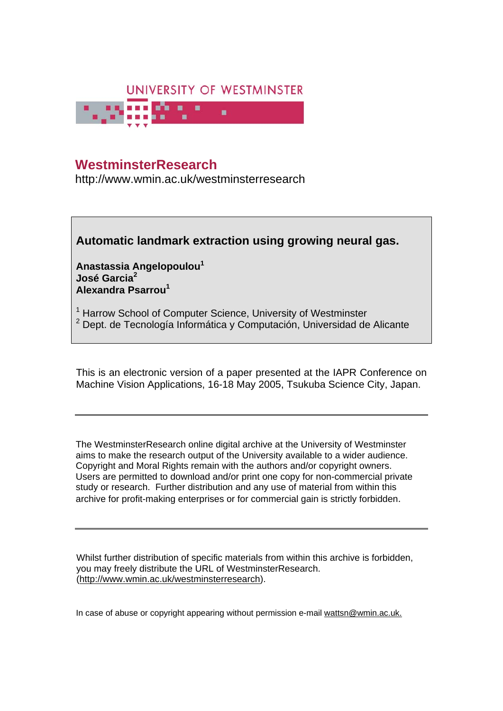

# **WestminsterResearch Westminster**

http://www.wmin.ac.uk/westminsterresearch

## **Automatic landmark extraction using growing neural gas.**

**Anastassia Angelopoulou1 José Garcia2 Alexandra Psarrou<sup>1</sup>**

- <sup>1</sup> Harrow School of Computer Science, University of Westminster
- <sup>2</sup> Dept. de Tecnología Informática y Computación, Universidad de Alicante

This is an electronic version of a paper presented at the IAPR Conference on Machine Vision Applications, 16-18 May 2005, Tsukuba Science City, Japan.

The WestminsterResearch online digital archive at the University of Westminster aims to make the research output of the University available to a wider audience. Copyright and Moral Rights remain with the authors and/or copyright owners. Users are permitted to download and/or print one copy for non-commercial private are permitted to download and/or print one copy for non-commercial private study or research. Further distribution and any use of material from within this archive for profit-making enterprises or for commercial gain is strictly forbidden. archive for profit-making enterprises or for commercial gain is strictly forbidden.

Whilst further distribution of specific materials from within this archive is forbidden, you may freely distribute the URL of WestminsterResearch. (http://www.wmin.ac.uk/westminsterresearch).

In case of abuse or copyright appearing without permission e-mail wattsn@wmin.ac.uk.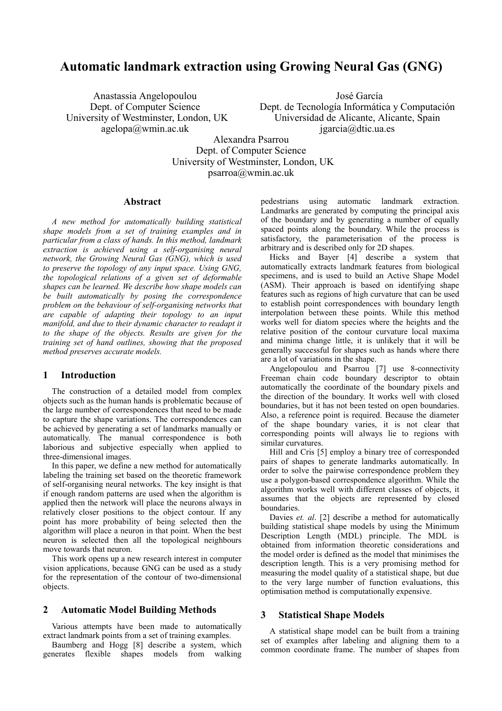### **Automatic landmark extraction using Growing Neural Gas (GNG)**

Anastassia Angelopoulou Dept. of Computer Science University of Westminster, London, UK agelopa@wmin.ac.uk

 José García Dept. de Tecnología Informática y Computación Universidad de Alicante, Alicante, Spain jgarcia@dtic.ua.es

Alexandra Psarrou Dept. of Computer Science University of Westminster, London, UK psarroa@wmin.ac.uk

#### **Abstract**

*A new method for automatically building statistical shape models from a set of training examples and in particular from a class of hands. In this method, landmark extraction is achieved using a self-organising neural network, the Growing Neural Gas (GNG), which is used to preserve the topology of any input space. Using GNG, the topological relations of a given set of deformable shapes can be learned. We describe how shape models can be built automatically by posing the correspondence problem on the behaviour of self-organising networks that are capable of adapting their topology to an input manifold, and due to their dynamic character to readapt it to the shape of the objects. Results are given for the training set of hand outlines, showing that the proposed method preserves accurate models.* 

#### **1 Introduction**

The construction of a detailed model from complex objects such as the human hands is problematic because of the large number of correspondences that need to be made to capture the shape variations. The correspondences can be achieved by generating a set of landmarks manually or automatically. The manual correspondence is both laborious and subjective especially when applied to three-dimensional images.

In this paper, we define a new method for automatically labeling the training set based on the theoretic framework of self-organising neural networks. The key insight is that if enough random patterns are used when the algorithm is applied then the network will place the neurons always in relatively closer positions to the object contour. If any point has more probability of being selected then the algorithm will place a neuron in that point. When the best neuron is selected then all the topological neighbours move towards that neuron.

This work opens up a new research interest in computer vision applications, because GNG can be used as a study for the representation of the contour of two-dimensional objects.

#### **2 Automatic Model Building Methods**

Various attempts have been made to automatically extract landmark points from a set of training examples.

Baumberg and Hogg [8] describe a system, which generates flexible shapes models from walking pedestrians using automatic landmark extraction. Landmarks are generated by computing the principal axis of the boundary and by generating a number of equally spaced points along the boundary. While the process is satisfactory, the parameterisation of the process is arbitrary and is described only for 2D shapes.

Hicks and Bayer [4] describe a system that automatically extracts landmark features from biological specimens, and is used to build an Active Shape Model (ASM). Their approach is based on identifying shape features such as regions of high curvature that can be used to establish point correspondences with boundary length interpolation between these points. While this method works well for diatom species where the heights and the relative position of the contour curvature local maxima and minima change little, it is unlikely that it will be generally successful for shapes such as hands where there are a lot of variations in the shape.

Angelopoulou and Psarrou [7] use 8-connectivity Freeman chain code boundary descriptor to obtain automatically the coordinate of the boundary pixels and the direction of the boundary. It works well with closed boundaries, but it has not been tested on open boundaries. Also, a reference point is required. Because the diameter of the shape boundary varies, it is not clear that corresponding points will always lie to regions with similar curvatures.

Hill and Cris [5] employ a binary tree of corresponded pairs of shapes to generate landmarks automatically. In order to solve the pairwise correspondence problem they use a polygon-based correspondence algorithm. While the algorithm works well with different classes of objects, it assumes that the objects are represented by closed boundaries.

Davies *et. al*. [2] describe a method for automatically building statistical shape models by using the Minimum Description Length (MDL) principle. The MDL is obtained from information theoretic considerations and the model order is defined as the model that minimises the description length. This is a very promising method for measuring the model quality of a statistical shape, but due to the very large number of function evaluations, this optimisation method is computationally expensive.

#### **3 Statistical Shape Models**

A statistical shape model can be built from a training set of examples after labeling and aligning them to a common coordinate frame. The number of shapes from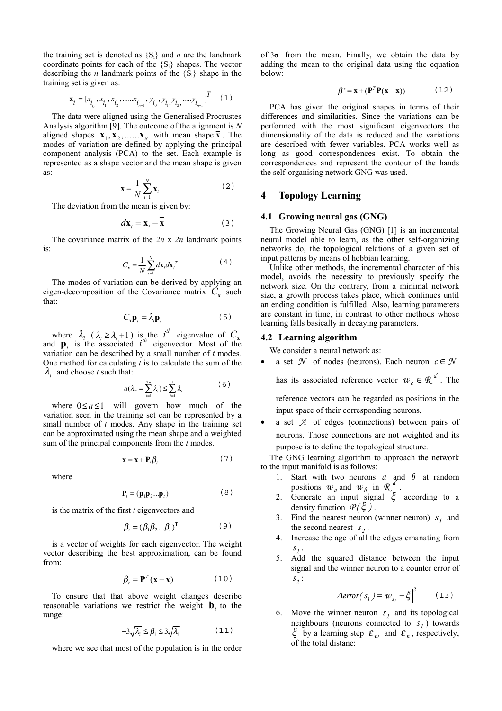the training set is denoted as  $\{S_i\}$  and *n* are the landmark coordinate points for each of the  $\{S_i\}$  shapes. The vector describing the *n* landmark points of the  ${S_i}$  shape in the training set is given as:

$$
\mathbf{x}_{i} = [x_{i_0}, x_{i_1}, x_{i_2}, \dots, x_{i_{n-1}}, y_{i_0}, y_{i_1}, y_{i_2}, \dots, y_{i_{n-1}}]^T
$$
 (1)

The data were aligned using the Generalised Procrustes Analysis algorithm [9]. The outcome of the alignment is *N*  aligned shapes  $\mathbf{X}_1, \mathbf{X}_2, \dots, \mathbf{X}_N$  with mean shape  $\overline{\mathbf{X}}$ . The modes of variation are defined by applying the principal component analysis (PCA) to the set. Each example is represented as a shape vector and the mean shape is given as:

$$
\overline{\mathbf{x}} = \frac{1}{N} \sum_{i=1}^{N} \mathbf{x}_i
$$
 (2)

The deviation from the mean is given by:

$$
d\mathbf{x}_{i} = \mathbf{x}_{i} - \mathbf{x} \tag{3}
$$

The covariance matrix of the *2n* x *2n* landmark points is:

$$
C_{\mathbf{x}} = \frac{1}{N} \sum_{i=1}^{N} d\mathbf{x}_i d\mathbf{x}_i^T
$$
 (4)

The modes of variation can be derived by applying an eigen-decomposition of the Covariance matrix  $C<sub>x</sub>$  such that:

$$
C_{x} \mathbf{p}_{i} = \lambda_{i} \mathbf{p}_{i} \tag{5}
$$

where  $\lambda_i$  ( $\lambda_i \geq \lambda_i + 1$ ) is the *i*<sup>th</sup> eigenvalue of  $C_x$ and  $\mathbf{p}_i$  is the associated  $i^{th}$  eigenvector. Most of the variation can be described by a small number of *t* modes*.* One method for calculating *t* is to calculate the sum of the  $\lambda_i$  and choose *t* such that:

$$
a(\lambda_{T} = \sum_{i=1}^{2n} \lambda_{i}) \leq \sum_{i=1}^{t} \lambda_{i}
$$
 (6)

where  $0 \le a \le 1$  will govern how much of the variation seen in the training set can be represented by a small number of *t* modes. Any shape in the training set can be approximated using the mean shape and a weighted sum of the principal components from the *t* modes.

$$
\mathbf{x} = \mathbf{\bar{x}} + \mathbf{P}_t \boldsymbol{\beta}_t \tag{7}
$$

where

$$
\mathbf{P}_t = (\mathbf{p}_1 \mathbf{p}_2 \dots \mathbf{p}_t) \tag{8}
$$

is the matrix of the first *t* eigenvectors and

$$
\beta_i = (\beta_1 \beta_2 ... \beta_i)^T \tag{9}
$$

is a vector of weights for each eigenvector. The weight vector describing the best approximation, can be found from:

$$
\beta_{t} = \mathbf{P}^{T}(\mathbf{x} - \mathbf{x}) \tag{10}
$$

To ensure that that above weight changes describe reasonable variations we restrict the weight  $\mathbf{b}$ , to the range:

$$
-3\sqrt{\lambda_i} \le \beta_i \le 3\sqrt{\lambda_i} \tag{11}
$$

where we see that most of the population is in the order

of 3**σ** from the mean. Finally, we obtain the data by adding the mean to the original data using the equation below:

$$
\beta' = \mathbf{\bar{x}} + (\mathbf{P}^T \mathbf{P}(\mathbf{x} - \mathbf{\bar{x}})) \tag{12}
$$

PCA has given the original shapes in terms of their differences and similarities. Since the variations can be performed with the most significant eigenvectors the dimensionality of the data is reduced and the variations are described with fewer variables. PCA works well as long as good correspondences exist. To obtain the correspondences and represent the contour of the hands the self-organising network GNG was used.

#### **4 Topology Learning**

#### **4.1 Growing neural gas (GNG)**

The Growing Neural Gas (GNG) [1] is an incremental neural model able to learn, as the other self-organizing networks do, the topological relations of a given set of input patterns by means of hebbian learning.

Unlike other methods, the incremental character of this model, avoids the necessity to previously specify the network size. On the contrary, from a minimal network size, a growth process takes place, which continues until an ending condition is fulfilled. Also, learning parameters are constant in time, in contrast to other methods whose learning falls basically in decaying parameters.

#### **4.2 Learning algorithm**

We consider a neural network as:

a set  $\mathcal N$  of nodes (neurons). Each neuron  $c \in \mathcal N$ 

has its associated reference vector  $w_c \in \Re^{d}$ . The

reference vectors can be regarded as positions in the input space of their corresponding neurons,

• a set *A* of edges (connections) between pairs of neurons. Those connections are not weighted and its purpose is to define the topological structure.

The GNG learning algorithm to approach the network to the input manifold is as follows:

- 1. Start with two neurons *a* and *b* at random positions  $w_a$  and  $w_b$  in  $\mathcal{R}_e^d$ .
- 2. Generate an input signal  $\xi$  according to a density function  $P(\xi)$ .
- 3. Find the nearest neuron (winner neuron)  $s_1$  and the second nearest  $s_2$ .
- 4. Increase the age of all the edges emanating from  $s<sub>j</sub>$ .
- 5. Add the squared distance between the input signal and the winner neuron to a counter error of  $S_1$ :

$$
\Delta error(s_1) = \left\| w_{s_1} - \xi \right\|^2 \qquad (13)
$$

6. Move the winner neuron  $s<sub>j</sub>$  and its topological neighbours (neurons connected to  $s<sub>1</sub>$ ) towards  $\xi$  by a learning step  $\varepsilon_w$  and  $\varepsilon_n$ , respectively, of the total distane: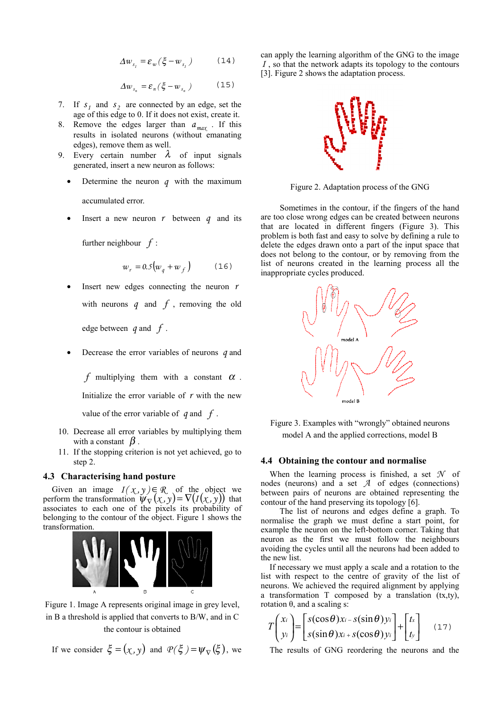$$
\Delta w_{s_1} = \mathcal{E}_w(\xi - w_{s_1}) \tag{14}
$$

$$
\Delta w_{s_n} = \varepsilon_n (\xi - w_{s_n}) \tag{15}
$$

- 7. If  $s_1$  and  $s_2$  are connected by an edge, set the age of this edge to 0. If it does not exist, create it.
- 8. Remove the edges larger than  $a_{max}$ . If this results in isolated neurons (without emanating edges), remove them as well.
- 9. Every certain number  $\lambda$  of input signals generated, insert a new neuron as follows:
	- Determine the neuron  $q$  with the maximum accumulated error.
	- Insert a new neuron  $r$  between  $q$  and its

further neighbour *f* :

$$
w_r = 0.5 \left( w_q + w_f \right) \tag{16}
$$

Insert new edges connecting the neuron  $r$ with neurons  $q$  and  $f$ , removing the old

edge between *q* and *f* .

• Decrease the error variables of neurons *q* and

*f* multiplying them with a constant  $\alpha$ . Initialize the error variable of *r* with the new value of the error variable of *q* and *f* .

- 10. Decrease all error variables by multiplying them with a constant  $\beta$ .
- 11. If the stopping criterion is not yet achieved, go to step 2.

#### **4.3 Characterising hand posture**

Given an image  $I(\mathfrak{X}, \mathfrak{Y}) \in \mathbb{R}$  of the object we perform the transformation  $\psi_{\nabla}(x, y) = \nabla (I(x, y))$  that associates to each one of the pixels its probability of belonging to the contour of the object. Figure 1 shows the transformation.



Figure 1. Image A represents original image in grey level, in B a threshold is applied that converts to B/W, and in C the contour is obtained

If we consider 
$$
\xi = (\chi, y)
$$
 and  $\mathcal{P}(\xi) = \psi_{\nabla}(\xi)$ , we

can apply the learning algorithm of the GNG to the image *I* , so that the network adapts its topology to the contours [3]. Figure 2 shows the adaptation process.



Figure 2. Adaptation process of the GNG

 Sometimes in the contour, if the fingers of the hand are too close wrong edges can be created between neurons that are located in different fingers (Figure 3). This problem is both fast and easy to solve by defining a rule to delete the edges drawn onto a part of the input space that does not belong to the contour, or by removing from the list of neurons created in the learning process all the inappropriate cycles produced.



Figure 3. Examples with "wrongly" obtained neurons model A and the applied corrections, model B

#### **4.4 Obtaining the contour and normalise**

When the learning process is finished, a set *N* of nodes (neurons) and a set *A* of edges (connections) between pairs of neurons are obtained representing the contour of the hand preserving its topology [6].

 The list of neurons and edges define a graph. To normalise the graph we must define a start point, for example the neuron on the left-bottom corner. Taking that neuron as the first we must follow the neighbours avoiding the cycles until all the neurons had been added to the new list.

If necessary we must apply a scale and a rotation to the list with respect to the centre of gravity of the list of neurons. We achieved the required alignment by applying a transformation T composed by a translation (tx,ty), rotation  $θ$ , and a scaling s:

$$
T\begin{pmatrix} x_i \\ y_i \end{pmatrix} = \begin{bmatrix} s(\cos\theta)x_i - s(\sin\theta)y_i \\ s(\sin\theta)x_i + s(\cos\theta)y_i \end{bmatrix} + \begin{bmatrix} t_x \\ t_y \end{bmatrix} \quad (17)
$$

The results of GNG reordering the neurons and the